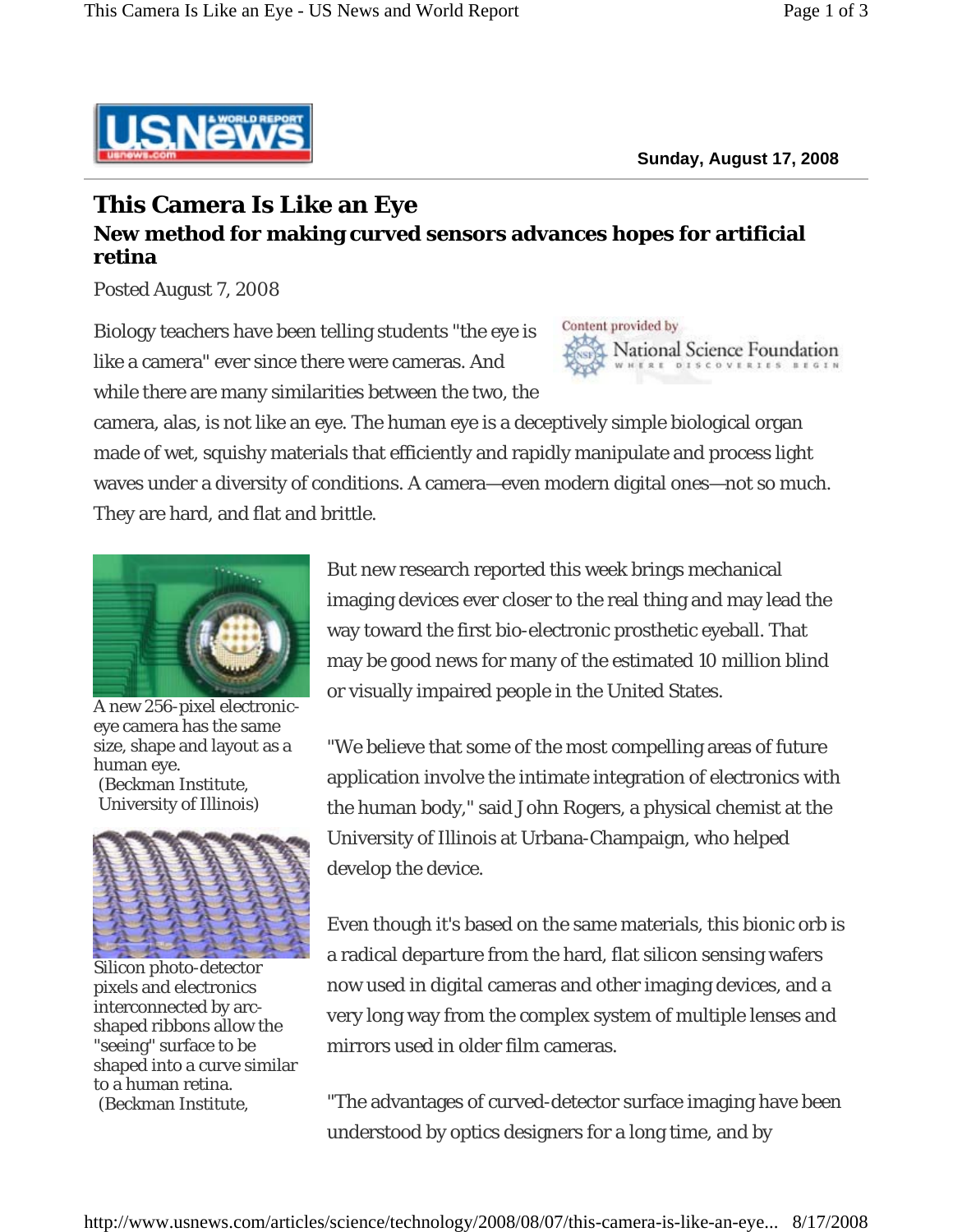

## **This Camera Is Like an Eye New method for making curved sensors advances hopes for artificial retina**

Posted August 7, 2008

Biology teachers have been telling students "the eye is like a camera" ever since there were cameras. And while there are many similarities between the two, the



camera, alas, is not like an eye. The human eye is a deceptively simple biological organ made of wet, squishy materials that efficiently and rapidly manipulate and process light waves under a diversity of conditions. A camera—even modern digital ones—not so much. They are hard, and flat and brittle.



A new 256-pixel electroniceye camera has the same size, shape and layout as a human eye. (Beckman Institute, University of Illinois)



Silicon photo-detector pixels and electronics interconnected by arcshaped ribbons allow the "seeing" surface to be shaped into a curve similar to a human retina. (Beckman Institute,

But new research reported this week brings mechanical imaging devices ever closer to the real thing and may lead the way toward the first bio-electronic prosthetic eyeball. That may be good news for many of the estimated 10 million blind or visually impaired people in the United States.

"We believe that some of the most compelling areas of future application involve the intimate integration of electronics with the human body," said John Rogers, a physical chemist at the University of Illinois at Urbana-Champaign, who helped develop the device.

Even though it's based on the same materials, this bionic orb is a radical departure from the hard, flat silicon sensing wafers now used in digital cameras and other imaging devices, and a very long way from the complex system of multiple lenses and mirrors used in older film cameras.

"The advantages of curved-detector surface imaging have been understood by optics designers for a long time, and by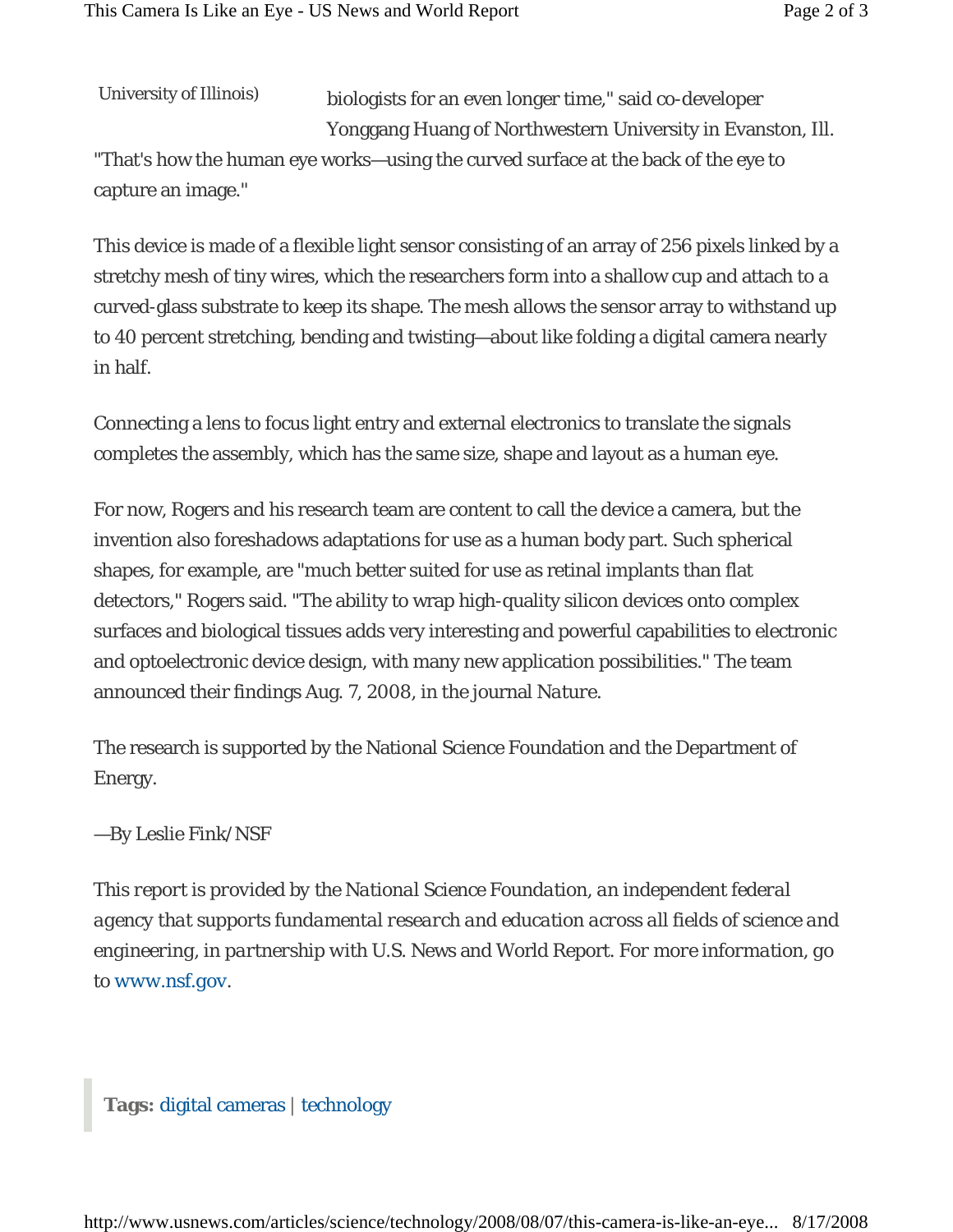University of Illinois)

capture an image."

biologists for an even longer time," said co-developer Yonggang Huang of Northwestern University in Evanston, Ill. "That's how the human eye works—using the curved surface at the back of the eye to

This device is made of a flexible light sensor consisting of an array of 256 pixels linked by a stretchy mesh of tiny wires, which the researchers form into a shallow cup and attach to a curved-glass substrate to keep its shape. The mesh allows the sensor array to withstand up to 40 percent stretching, bending and twisting—about like folding a digital camera nearly in half.

Connecting a lens to focus light entry and external electronics to translate the signals completes the assembly, which has the same size, shape and layout as a human eye.

For now, Rogers and his research team are content to call the device a camera, but the invention also foreshadows adaptations for use as a human body part. Such spherical shapes, for example, are "much better suited for use as retinal implants than flat detectors," Rogers said. "The ability to wrap high-quality silicon devices onto complex surfaces and biological tissues adds very interesting and powerful capabilities to electronic and optoelectronic device design, with many new application possibilities." The team announced their findings Aug. 7, 2008, in the journal *Nature*.

The research is supported by the National Science Foundation and the Department of Energy.

## —By Leslie Fink/NSF

*This report is provided by the National Science Foundation, an independent federal agency that supports fundamental research and education across all fields of science and engineering, in partnership with* U.S. News and World Report. *For more information, go to www.nsf.gov.*

## **Tags:** digital cameras | technology